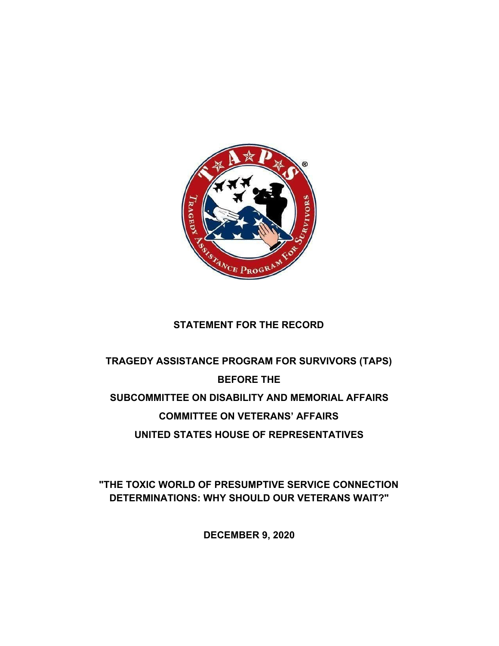

# **STATEMENT FOR THE RECORD**

# **TRAGEDY ASSISTANCE PROGRAM FOR SURVIVORS (TAPS) BEFORE THE SUBCOMMITTEE ON DISABILITY AND MEMORIAL AFFAIRS COMMITTEE ON VETERANS' AFFAIRS UNITED STATES HOUSE OF REPRESENTATIVES**

**"THE TOXIC WORLD OF PRESUMPTIVE SERVICE CONNECTION DETERMINATIONS: WHY SHOULD OUR VETERANS WAIT?"**

**DECEMBER 9, 2020**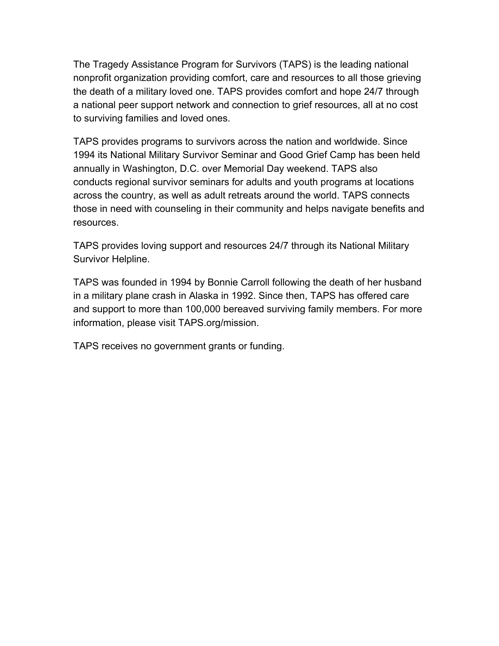The Tragedy Assistance Program for Survivors (TAPS) is the leading national nonprofit organization providing comfort, care and resources to all those grieving the death of a military loved one. TAPS provides comfort and hope 24/7 through a national peer support network and connection to grief resources, all at no cost to surviving families and loved ones.

TAPS provides programs to survivors across the nation and worldwide. Since 1994 its National Military Survivor Seminar and Good Grief Camp has been held annually in Washington, D.C. over Memorial Day weekend. TAPS also conducts [regional survivor seminars for adults](https://www.taps.org/programs/survivor-seminars/) and [youth programs](https://www.taps.org/programs/youth-programs/) at locations across the country, as well as adult [retreats](https://www.taps.org/programs/programs-retreats/) around the world. TAPS connects those in need with [counseling in their community](https://www.taps.org/resources/grief-counseling/) and helps [navigate benefits and](https://www.taps.org/resources/programs-casework/) [resources](https://www.taps.org/resources/programs-casework/).

[TAPS provides loving support and resources 24/7 through its National Military](https://www.taps.org/connect/survivor-helpline/) [Survivor Helpline.](https://www.taps.org/connect/survivor-helpline/)

TAPS was founded in 1994 by Bonnie Carroll following the death of her husband in a military plane crash in Alaska in 1992. Since then, TAPS has offered care and support to more than 100,000 bereaved surviving family members. For more information, please visit TAPS.org/mission.

TAPS receives no government grants or funding.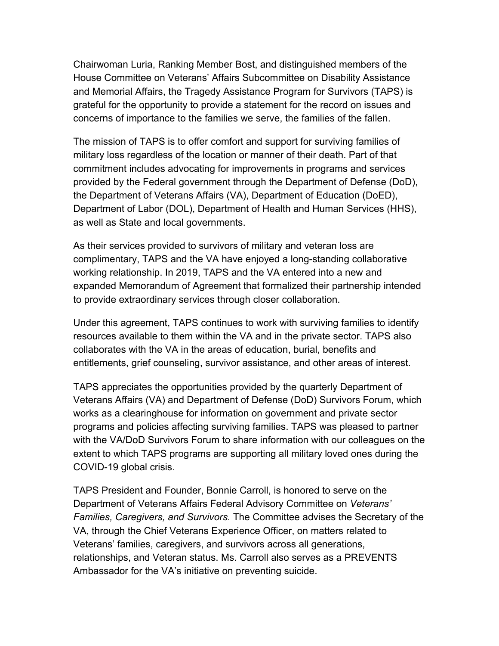Chairwoman Luria, Ranking Member Bost, and distinguished members of the House Committee on Veterans' Affairs Subcommittee on Disability Assistance and Memorial Affairs, the Tragedy Assistance Program for Survivors (TAPS) is grateful for the opportunity to provide a statement for the record on issues and concerns of importance to the families we serve, the families of the fallen.

The mission of TAPS is to offer comfort and support for surviving families of military loss regardless of the location or manner of their death. Part of that commitment includes advocating for improvements in programs and services provided by the Federal government through the Department of Defense (DoD), the Department of Veterans Affairs (VA), Department of Education (DoED), Department of Labor (DOL), Department of Health and Human Services (HHS), as well as State and local governments.

As their services provided to survivors of military and veteran loss are complimentary, TAPS and the VA have enjoyed a long-standing collaborative working relationship. In 2019, TAPS and the VA entered into a new and expanded Memorandum of Agreement that formalized their partnership intended to provide extraordinary services through closer collaboration.

Under this agreement, TAPS continues to work with surviving families to identify resources available to them within the VA and in the private sector. TAPS also collaborates with the VA in the areas of education, burial, benefits and entitlements, grief counseling, survivor assistance, and other areas of interest.

TAPS appreciates the opportunities provided by the quarterly Department of Veterans Affairs (VA) and Department of Defense (DoD) Survivors Forum, which works as a clearinghouse for information on government and private sector programs and policies affecting surviving families. TAPS was pleased to partner with the VA/DoD Survivors Forum to share information with our colleagues on the extent to which TAPS programs are supporting all military loved ones during the COVID-19 global crisis.

TAPS President and Founder, Bonnie Carroll, is honored to serve on the Department of Veterans Affairs Federal Advisory Committee on *Veterans' Families, Caregivers, and Survivors.* The Committee advises the Secretary of the VA, through the Chief Veterans Experience Officer, on matters related to Veterans' families, caregivers, and survivors across all generations, relationships, and Veteran status. Ms. Carroll also serves as a PREVENTS Ambassador for the VA's initiative on preventing suicide.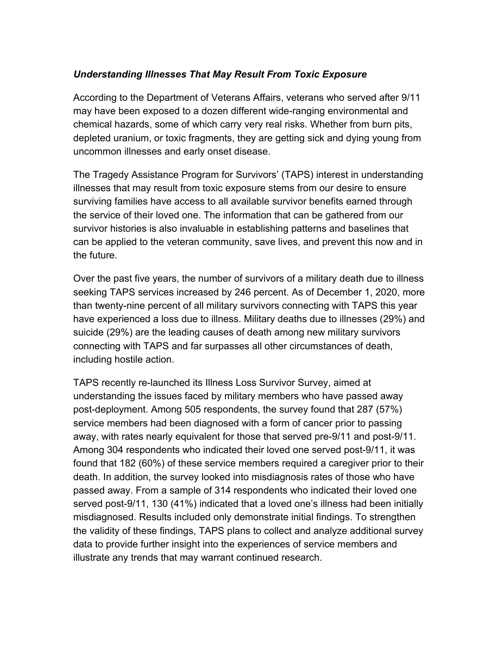## *Understanding Illnesses That May Result From Toxic Exposure*

According to the Department of Veterans Affairs, veterans who served after 9/11 may have been exposed to a dozen different wide-ranging environmental and chemical hazards, some of which carry very real risks. Whether from burn pits, depleted uranium, or toxic fragments, they are getting sick and dying young from uncommon illnesses and early onset disease.

The Tragedy Assistance Program for Survivors' (TAPS) interest in understanding illnesses that may result from toxic exposure stems from our desire to ensure surviving families have access to all available survivor benefits earned through the service of their loved one. The information that can be gathered from our survivor histories is also invaluable in establishing patterns and baselines that can be applied to the veteran community, save lives, and prevent this now and in the future.

Over the past five years, the number of survivors of a military death due to illness seeking TAPS services increased by 246 percent. As of December 1, 2020, more than twenty-nine percent of all military survivors connecting with TAPS this year have experienced a loss due to illness. Military deaths due to illnesses (29%) and suicide (29%) are the leading causes of death among new military survivors connecting with TAPS and far surpasses all other circumstances of death, including hostile action.

TAPS recently re-launched its Illness Loss Survivor Survey, aimed at understanding the issues faced by military members who have passed away post-deployment. Among 505 respondents, the survey found that 287 (57%) service members had been diagnosed with a form of cancer prior to passing away, with rates nearly equivalent for those that served pre-9/11 and post-9/11. Among 304 respondents who indicated their loved one served post-9/11, it was found that 182 (60%) of these service members required a caregiver prior to their death. In addition, the survey looked into misdiagnosis rates of those who have passed away. From a sample of 314 respondents who indicated their loved one served post-9/11, 130 (41%) indicated that a loved one's illness had been initially misdiagnosed. Results included only demonstrate initial findings. To strengthen the validity of these findings, TAPS plans to collect and analyze additional survey data to provide further insight into the experiences of service members and illustrate any trends that may warrant continued research.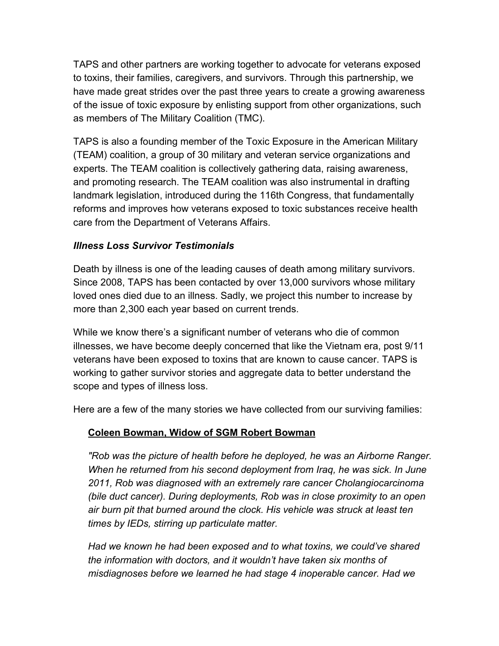TAPS and other partners are working together to advocate for veterans exposed to toxins, their families, caregivers, and survivors. Through this partnership, we have made great strides over the past three years to create a growing awareness of the issue of toxic exposure by enlisting support from other organizations, such as members of The Military Coalition (TMC).

TAPS is also a founding member of the Toxic Exposure in the American Military (TEAM) coalition, a group of 30 military and veteran service organizations and experts. The TEAM coalition is collectively gathering data, raising awareness, and promoting research. The TEAM coalition was also instrumental in drafting landmark legislation, introduced during the 116th Congress, that fundamentally reforms and improves how veterans exposed to toxic substances receive health care from the Department of Veterans Affairs.

## *Illness Loss Survivor Testimonials*

Death by illness is one of the leading causes of death among military survivors. Since 2008, TAPS has been contacted by over 13,000 survivors whose military loved ones died due to an illness. Sadly, we project this number to increase by more than 2,300 each year based on current trends.

While we know there's a significant number of veterans who die of common illnesses, we have become deeply concerned that like the Vietnam era, post 9/11 veterans have been exposed to toxins that are known to cause cancer. TAPS is working to gather survivor stories and aggregate data to better understand the scope and types of illness loss.

Here are a few of the many stories we have collected from our surviving families:

# **Coleen Bowman, Widow of SGM Robert Bowman**

*"Rob was the picture of health before he deployed, he was an Airborne Ranger. When he returned from his second deployment from Iraq, he was sick. In June 2011, Rob was diagnosed with an extremely rare cancer Cholangiocarcinoma (bile duct cancer). During deployments, Rob was in close proximity to an open air burn pit that burned around the clock. His vehicle was struck at least ten times by IEDs, stirring up particulate matter.*

*Had we known he had been exposed and to what toxins, we could've shared the information with doctors, and it wouldn't have taken six months of misdiagnoses before we learned he had stage 4 inoperable cancer. Had we*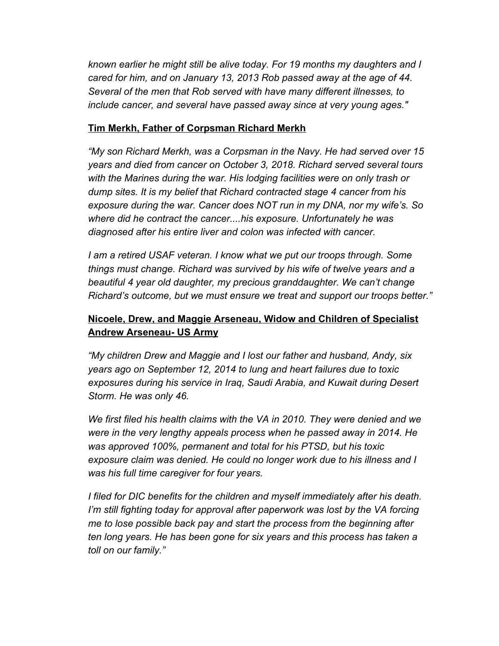*known earlier he might still be alive today. For 19 months my daughters and I cared for him, and on January 13, 2013 Rob passed away at the age of 44. Several of the men that Rob served with have many different illnesses, to include cancer, and several have passed away since at very young ages."*

#### **Tim Merkh, Father of Corpsman Richard Merkh**

*"My son Richard Merkh, was a Corpsman in the Navy. He had served over 15 years and died from cancer on October 3, 2018. Richard served several tours with the Marines during the war. His lodging facilities were on only trash or dump sites. It is my belief that Richard contracted stage 4 cancer from his exposure during the war. Cancer does NOT run in my DNA, nor my wife's. So where did he contract the cancer....his exposure. Unfortunately he was diagnosed after his entire liver and colon was infected with cancer.*

*I am a retired USAF veteran. I know what we put our troops through. Some things must change. Richard was survived by his wife of twelve years and a beautiful 4 year old daughter, my precious granddaughter. We can't change Richard's outcome, but we must ensure we treat and support our troops better."*

# **Nicoele, Drew, and Maggie Arseneau, Widow and Children of Specialist Andrew Arseneau- US Army**

*"My children Drew and Maggie and I lost our father and husband, Andy, six years ago on September 12, 2014 to lung and heart failures due to toxic exposures during his service in Iraq, Saudi Arabia, and Kuwait during Desert Storm. He was only 46.*

*We first filed his health claims with the VA in 2010. They were denied and we were in the very lengthy appeals process when he passed away in 2014. He was approved 100%, permanent and total for his PTSD, but his toxic exposure claim was denied. He could no longer work due to his illness and I was his full time caregiver for four years.*

*I filed for DIC benefits for the children and myself immediately after his death. I'm still fighting today for approval after paperwork was lost by the VA forcing me to lose possible back pay and start the process from the beginning after ten long years. He has been gone for six years and this process has taken a toll on our family."*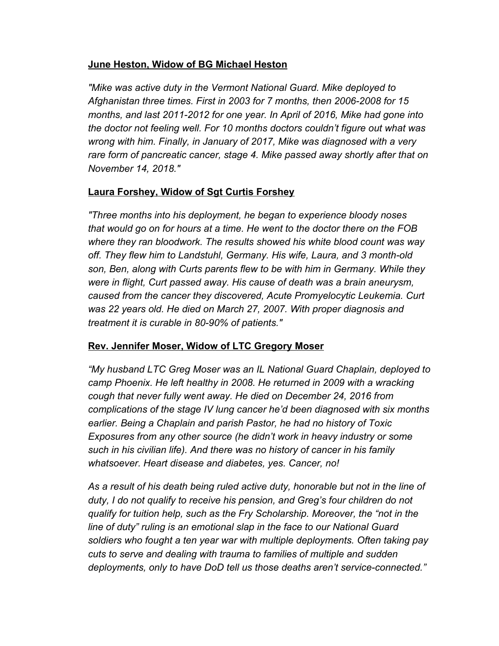## **June Heston, Widow of BG Michael Heston**

*"Mike was active duty in the Vermont National Guard. Mike deployed to Afghanistan three times. First in 2003 for 7 months, then 2006-2008 for 15 months, and last 2011-2012 for one year. In April of 2016, Mike had gone into the doctor not feeling well. For 10 months doctors couldn't figure out what was wrong with him. Finally, in January of 2017, Mike was diagnosed with a very rare form of pancreatic cancer, stage 4. Mike passed away shortly after that on November 14, 2018."*

# **Laura Forshey, Widow of Sgt Curtis Forshey**

*"Three months into his deployment, he began to experience bloody noses that would go on for hours at a time. He went to the doctor there on the FOB where they ran bloodwork. The results showed his white blood count was way off. They flew him to Landstuhl, Germany. His wife, Laura, and 3 month-old son, Ben, along with Curts parents flew to be with him in Germany. While they were in flight, Curt passed away. His cause of death was a brain aneurysm, caused from the cancer they discovered, Acute Promyelocytic Leukemia. Curt was 22 years old. He died on March 27, 2007. With proper diagnosis and treatment it is curable in 80-90% of patients."*

# **Rev. Jennifer Moser, Widow of LTC Gregory Moser**

*"My husband LTC Greg Moser was an IL National Guard Chaplain, deployed to camp Phoenix. He left healthy in 2008. He returned in 2009 with a wracking cough that never fully went away. He died on December 24, 2016 from complications of the stage IV lung cancer he'd been diagnosed with six months earlier. Being a Chaplain and parish Pastor, he had no history of Toxic Exposures from any other source (he didn't work in heavy industry or some such in his civilian life). And there was no history of cancer in his family whatsoever. Heart disease and diabetes, yes. Cancer, no!*

*As a result of his death being ruled active duty, honorable but not in the line of duty, I do not qualify to receive his pension, and Greg's four children do not qualify for tuition help, such as the Fry Scholarship. Moreover, the "not in the line of duty" ruling is an emotional slap in the face to our National Guard soldiers who fought a ten year war with multiple deployments. Often taking pay cuts to serve and dealing with trauma to families of multiple and sudden deployments, only to have DoD tell us those deaths aren't service-connected."*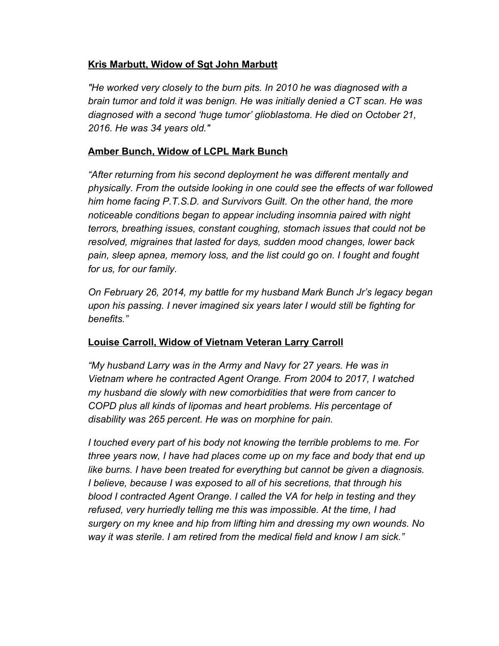## **Kris Marbutt, Widow of Sgt John Marbutt**

*"He worked very closely to the burn pits. In 2010 he was diagnosed with a brain tumor and told it was benign. He was initially denied a CT scan. He was diagnosed with a second 'huge tumor' glioblastoma. He died on October 21, 2016. He was 34 years old."*

## **Amber Bunch, Widow of LCPL Mark Bunch**

*"After returning from his second deployment he was different mentally and physically. From the outside looking in one could see the effects of war followed him home facing P.T.S.D. and Survivors Guilt. On the other hand, the more noticeable conditions began to appear including insomnia paired with night terrors, breathing issues, constant coughing, stomach issues that could not be resolved, migraines that lasted for days, sudden mood changes, lower back pain, sleep apnea, memory loss, and the list could go on. I fought and fought for us, for our family.*

*On February 26, 2014, my battle for my husband Mark Bunch Jr's legacy began upon his passing. I never imagined six years later I would still be fighting for benefits."*

# **Louise Carroll, Widow of Vietnam Veteran Larry Carroll**

*"My husband Larry was in the Army and Navy for 27 years. He was in Vietnam where he contracted Agent Orange. From 2004 to 2017, I watched my husband die slowly with new comorbidities that were from cancer to COPD plus all kinds of lipomas and heart problems. His percentage of disability was 265 percent. He was on morphine for pain.*

*I touched every part of his body not knowing the terrible problems to me. For three years now, I have had places come up on my face and body that end up like burns. I have been treated for everything but cannot be given a diagnosis. I believe, because I was exposed to all of his secretions, that through his blood I contracted Agent Orange. I called the VA for help in testing and they refused, very hurriedly telling me this was impossible. At the time, I had surgery on my knee and hip from lifting him and dressing my own wounds. No way it was sterile. I am retired from the medical field and know I am sick."*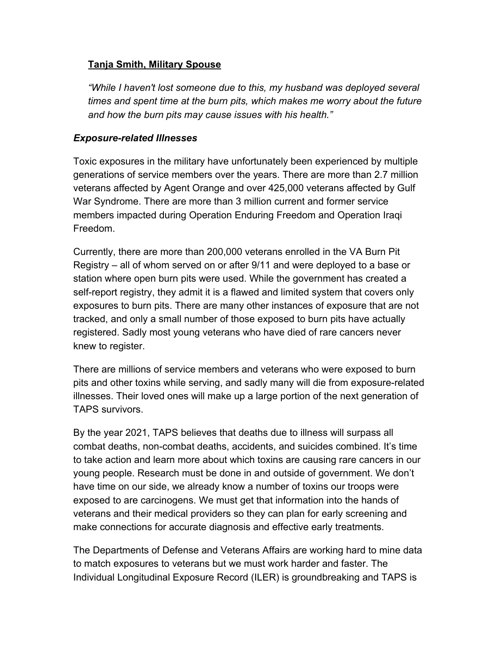#### **Tanja Smith, Military Spouse**

*"While I haven't lost someone due to this, my husband was deployed several times and spent time at the burn pits, which makes me worry about the future and how the burn pits may cause issues with his health."*

#### *Exposure-related Illnesses*

Toxic exposures in the military have unfortunately been experienced by multiple generations of service members over the years. There are more than 2.7 million veterans affected by Agent Orange and over 425,000 veterans affected by Gulf War Syndrome. There are more than 3 million current and former service members impacted during Operation Enduring Freedom and Operation Iraqi Freedom.

Currently, there are more than 200,000 veterans enrolled in the VA Burn Pit Registry – all of whom served on or after 9/11 and were deployed to a base or station where open burn pits were used. While the government has created a self-report registry, they admit it is a flawed and limited system that covers only exposures to burn pits. There are many other instances of exposure that are not tracked, and only a small number of those exposed to burn pits have actually registered. Sadly most young veterans who have died of rare cancers never knew to register.

There are millions of service members and veterans who were exposed to burn pits and other toxins while serving, and sadly many will die from exposure-related illnesses. Their loved ones will make up a large portion of the next generation of TAPS survivors.

By the year 2021, TAPS believes that deaths due to illness will surpass all combat deaths, non-combat deaths, accidents, and suicides combined. It's time to take action and learn more about which toxins are causing rare cancers in our young people. Research must be done in and outside of government. We don't have time on our side, we already know a number of toxins our troops were exposed to are carcinogens. We must get that information into the hands of veterans and their medical providers so they can plan for early screening and make connections for accurate diagnosis and effective early treatments.

The Departments of Defense and Veterans Affairs are working hard to mine data to match exposures to veterans but we must work harder and faster. The Individual Longitudinal Exposure Record (ILER) is groundbreaking and TAPS is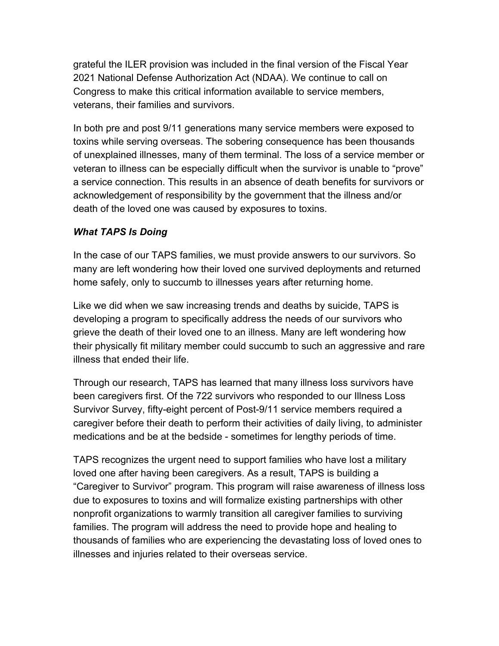grateful the ILER provision was included in the final version of the Fiscal Year 2021 National Defense Authorization Act (NDAA). We continue to call on Congress to make this critical information available to service members, veterans, their families and survivors.

In both pre and post 9/11 generations many service members were exposed to toxins while serving overseas. The sobering consequence has been thousands of unexplained illnesses, many of them terminal. The loss of a service member or veteran to illness can be especially difficult when the survivor is unable to "prove" a service connection. This results in an absence of death benefits for survivors or acknowledgement of responsibility by the government that the illness and/or death of the loved one was caused by exposures to toxins.

#### *What TAPS Is Doing*

In the case of our TAPS families, we must provide answers to our survivors. So many are left wondering how their loved one survived deployments and returned home safely, only to succumb to illnesses years after returning home.

Like we did when we saw increasing trends and deaths by suicide, TAPS is developing a program to specifically address the needs of our survivors who grieve the death of their loved one to an illness. Many are left wondering how their physically fit military member could succumb to such an aggressive and rare illness that ended their life.

Through our research, TAPS has learned that many illness loss survivors have been caregivers first. Of the 722 survivors who responded to our Illness Loss Survivor Survey, fifty-eight percent of Post-9/11 service members required a caregiver before their death to perform their activities of daily living, to administer medications and be at the bedside - sometimes for lengthy periods of time.

TAPS recognizes the urgent need to support families who have lost a military loved one after having been caregivers. As a result, TAPS is building a "Caregiver to Survivor" program. This program will raise awareness of illness loss due to exposures to toxins and will formalize existing partnerships with other nonprofit organizations to warmly transition all caregiver families to surviving families. The program will address the need to provide hope and healing to thousands of families who are experiencing the devastating loss of loved ones to illnesses and injuries related to their overseas service.